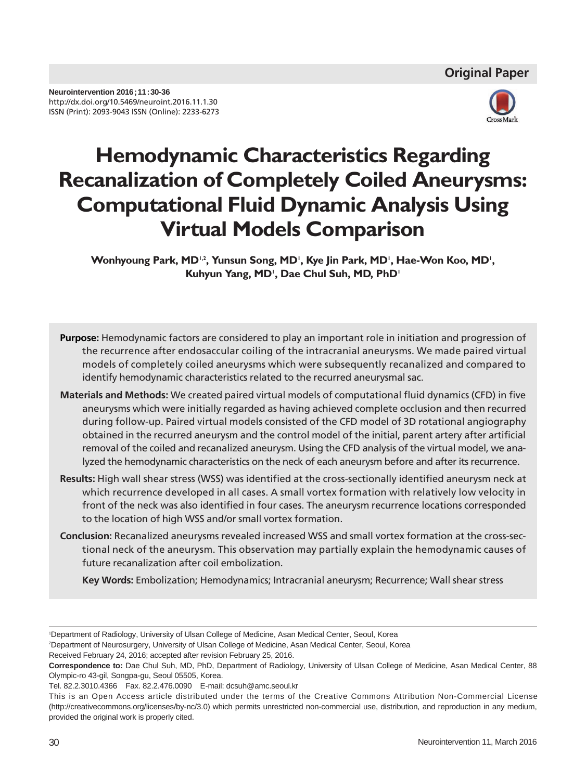

# **Hemodynamic Characteristics Regarding Recanalization of Completely Coiled Aneurysms: Computational Fluid Dynamic Analysis Using Virtual Models Comparison**

Wonhyoung Park, MD<sup>1,2</sup>, Yunsun Song, MD', Kye Jin Park, MD', Hae-Won Koo, MD', Kuhyun Yang, MD<sup>1</sup>, Dae Chul Suh, MD, PhD<sup>1</sup>

- **Purpose:** Hemodynamic factors are considered to play an important role in initiation and progression of the recurrence after endosaccular coiling of the intracranial aneurysms. We made paired virtual models of completely coiled aneurysms which were subsequently recanalized and compared to identify hemodynamic characteristics related to the recurred aneurysmal sac.
- **Materials and Methods:** We created paired virtual models of computational fluid dynamics (CFD) in five aneurysms which were initially regarded as having achieved complete occlusion and then recurred during follow-up. Paired virtual models consisted of the CFD model of 3D rotational angiography obtained in the recurred aneurysm and the control model of the initial, parent artery after artificial removal of the coiled and recanalized aneurysm. Using the CFD analysis of the virtual model, we analyzed the hemodynamic characteristics on the neck of each aneurysm before and after its recurrence.
- **Results:** High wall shear stress (WSS) was identified at the cross-sectionally identified aneurysm neck at which recurrence developed in all cases. A small vortex formation with relatively low velocity in front of the neck was also identified in four cases. The aneurysm recurrence locations corresponded to the location of high WSS and/or small vortex formation.
- **Conclusion:** Recanalized aneurysms revealed increased WSS and small vortex formation at the cross-sectional neck of the aneurysm. This observation may partially explain the hemodynamic causes of future recanalization after coil embolization.

**Key Words:** Embolization; Hemodynamics; Intracranial aneurysm; Recurrence; Wall shear stress

<sup>1</sup> Department of Radiology, University of Ulsan College of Medicine, Asan Medical Center, Seoul, Korea

<sup>2</sup> Department of Neurosurgery, University of Ulsan College of Medicine, Asan Medical Center, Seoul, Korea

Received February 24, 2016; accepted after revision February 25, 2016.

**Correspondence to:** Dae Chul Suh, MD, PhD, Department of Radiology, University of Ulsan College of Medicine, Asan Medical Center, 88 Olympic-ro 43-gil, Songpa-gu, Seoul 05505, Korea.

Tel. 82.2.3010.4366 Fax. 82.2.476.0090 E-mail: dcsuh@amc.seoul.kr

This is an Open Access article distributed under the terms of the Creative Commons Attribution Non-Commercial License (http://creativecommons.org/licenses/by-nc/3.0) which permits unrestricted non-commercial use, distribution, and reproduction in any medium, provided the original work is properly cited.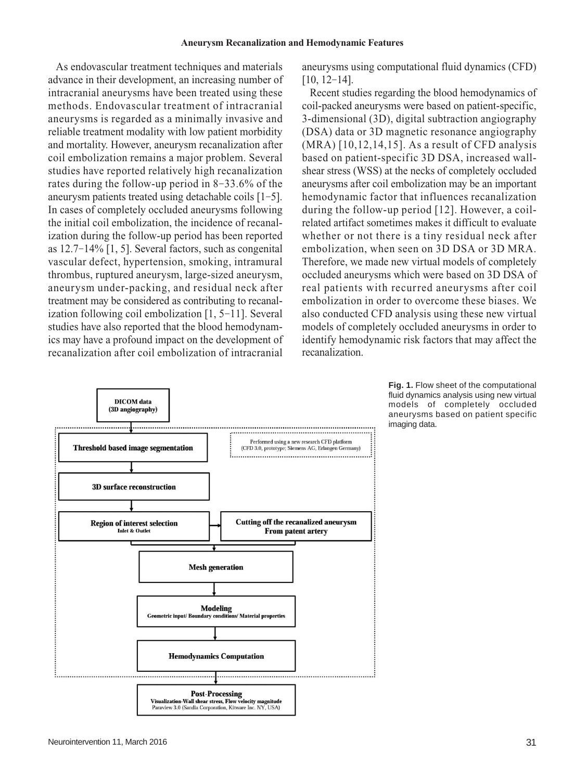As endovascular treatment techniques and materials advance in their development, an increasing number of intracranial aneurysms have been treated using these methods. Endovascular treatment of intracranial aneurysms is regarded as a minimally invasive and reliable treatment modality with low patient morbidity and mortality. However, aneurysm recanalization after coil embolization remains a major problem. Several studies have reported relatively high recanalization rates during the follow-up period in 8-33.6% of the aneurysm patients treated using detachable coils [1-5]. In cases of completely occluded aneurysms following the initial coil embolization, the incidence of recanalization during the follow-up period has been reported as 12.7-14% [1, 5]. Several factors, such as congenital vascular defect, hypertension, smoking, intramural thrombus, ruptured aneurysm, large-sized aneurysm, aneurysm under-packing, and residual neck after treatment may be considered as contributing to recanalization following coil embolization [1, 5-11]. Several studies have also reported that the blood hemodynamics may have a profound impact on the development of recanalization after coil embolization of intracranial

**DICOM** data (3D angiography) Performed using a new research CFD platform **Threshold based image segmentation** (CFD 3.0, prototype; Siemens AG, Erlangen Germany) **3D surface reconstruction Cutting off the recanalized aneurysm Region of interest selection Inlet & Outlet From patent arterv Mesh generation Modeling** ,<br>›ns/ Material properties etric input/ Be **Hemodynamics Computation Post-Processing** Visualization-Wall shear stress, Flow velocity magnitude<br>Paraview 3.0 (Sandia Corporation, Kitware Inc. NY, USA)

aneurysms using computational fluid dynamics (CFD) [10, 12-14].

Recent studies regarding the blood hemodynamics of coil-packed aneurysms were based on patient-specific, 3-dimensional (3D), digital subtraction angiography (DSA) data or 3D magnetic resonance angiography (MRA) [10,12,14,15]. As a result of CFD analysis based on patient-specific 3D DSA, increased wallshear stress (WSS) at the necks of completely occluded aneurysms after coil embolization may be an important hemodynamic factor that influences recanalization during the follow-up period [12]. However, a coilrelated artifact sometimes makes it difficult to evaluate whether or not there is a tiny residual neck after embolization, when seen on 3D DSA or 3D MRA. Therefore, we made new virtual models of completely occluded aneurysms which were based on 3D DSA of real patients with recurred aneurysms after coil embolization in order to overcome these biases. We also conducted CFD analysis using these new virtual models of completely occluded aneurysms in order to identify hemodynamic risk factors that may affect the recanalization.

> **Fig. 1.** Flow sheet of the computational fluid dynamics analysis using new virtual models of completely occluded aneurysms based on patient specific imaging data.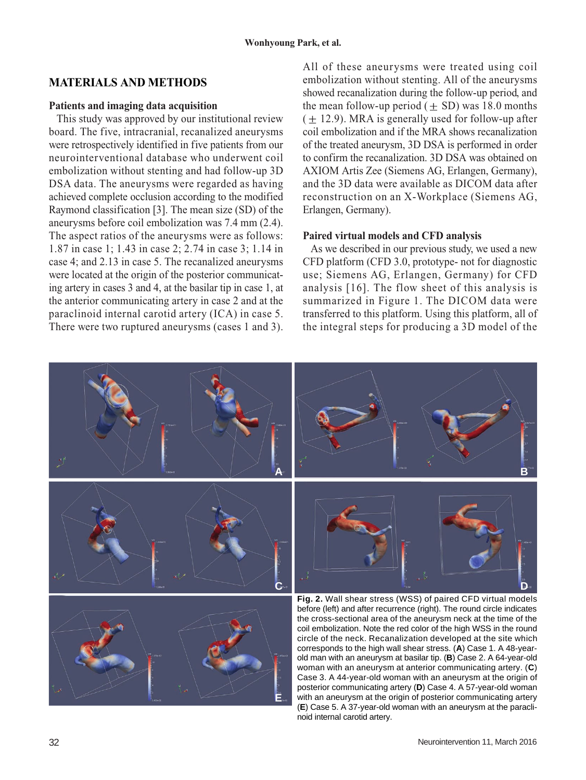## **MATERIALS AND METHODS**

#### **Patients and imaging data acquisition**

This study was approved by our institutional review board. The five, intracranial, recanalized aneurysms were retrospectively identified in five patients from our neurointerventional database who underwent coil embolization without stenting and had follow-up 3D DSA data. The aneurysms were regarded as having achieved complete occlusion according to the modified Raymond classification [3]. The mean size (SD) of the aneurysms before coil embolization was 7.4 mm (2.4). The aspect ratios of the aneurysms were as follows: 1.87 in case 1; 1.43 in case 2; 2.74 in case 3; 1.14 in case 4; and 2.13 in case 5. The recanalized aneurysms were located at the origin of the posterior communicating artery in cases 3 and 4, at the basilar tip in case 1, at the anterior communicating artery in case 2 and at the paraclinoid internal carotid artery (ICA) in case 5. There were two ruptured aneurysms (cases 1 and 3). All of these aneurysms were treated using coil embolization without stenting. All of the aneurysms showed recanalization during the follow-up period, and the mean follow-up period  $( + SD)$  was 18.0 months  $(\pm 12.9)$ . MRA is generally used for follow-up after coil embolization and if the MRA shows recanalization of the treated aneurysm, 3D DSA is performed in order to confirm the recanalization. 3D DSA was obtained on AXIOM Artis Zee (Siemens AG, Erlangen, Germany), and the 3D data were available as DICOM data after reconstruction on an X-Workplace (Siemens AG, Erlangen, Germany).

#### **Paired virtual models and CFD analysis**

As we described in our previous study, we used a new CFD platform (CFD 3.0, prototype- not for diagnostic use; Siemens AG, Erlangen, Germany) for CFD analysis [16]. The flow sheet of this analysis is summarized in Figure 1. The DICOM data were transferred to this platform. Using this platform, all of the integral steps for producing a 3D model of the

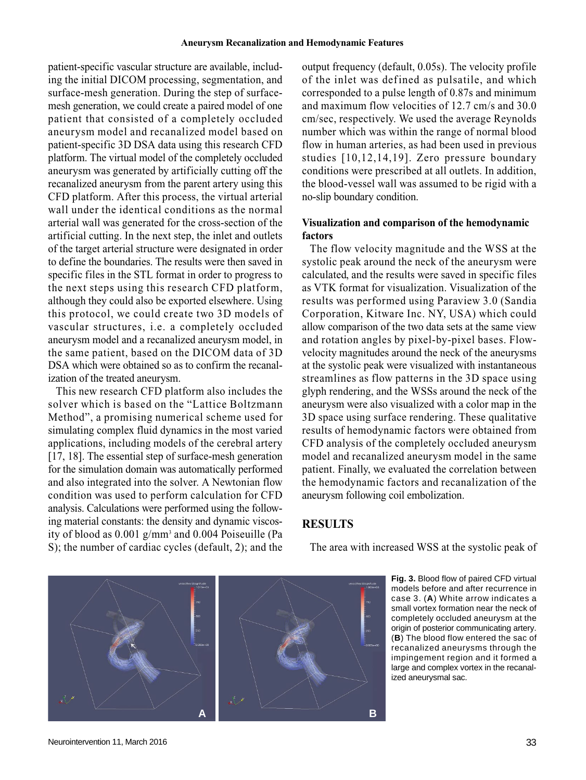patient-specific vascular structure are available, including the initial DICOM processing, segmentation, and surface-mesh generation. During the step of surfacemesh generation, we could create a paired model of one patient that consisted of a completely occluded aneurysm model and recanalized model based on patient-specific 3D DSA data using this research CFD platform. The virtual model of the completely occluded aneurysm was generated by artificially cutting off the recanalized aneurysm from the parent artery using this CFD platform. After this process, the virtual arterial wall under the identical conditions as the normal arterial wall was generated for the cross-section of the artificial cutting. In the next step, the inlet and outlets of the target arterial structure were designated in order to define the boundaries. The results were then saved in specific files in the STL format in order to progress to the next steps using this research CFD platform, although they could also be exported elsewhere. Using this protocol, we could create two 3D models of vascular structures, i.e. a completely occluded aneurysm model and a recanalized aneurysm model, in the same patient, based on the DICOM data of 3D DSA which were obtained so as to confirm the recanalization of the treated aneurysm.

This new research CFD platform also includes the solver which is based on the "Lattice Boltzmann Method", a promising numerical scheme used for simulating complex fluid dynamics in the most varied applications, including models of the cerebral artery [17, 18]. The essential step of surface-mesh generation for the simulation domain was automatically performed and also integrated into the solver. A Newtonian flow condition was used to perform calculation for CFD analysis. Calculations were performed using the following material constants: the density and dynamic viscosity of blood as 0.001 g/mm3 and 0.004 Poiseuille (Pa S); the number of cardiac cycles (default, 2); and the

output frequency (default, 0.05s). The velocity profile of the inlet was defined as pulsatile, and which corresponded to a pulse length of 0.87s and minimum and maximum flow velocities of 12.7 cm/s and 30.0 cm/sec, respectively. We used the average Reynolds number which was within the range of normal blood flow in human arteries, as had been used in previous studies [10,12,14,19]. Zero pressure boundary conditions were prescribed at all outlets. In addition, the blood-vessel wall was assumed to be rigid with a no-slip boundary condition.

#### **Visualization and comparison of the hemodynamic factors**

The flow velocity magnitude and the WSS at the systolic peak around the neck of the aneurysm were calculated, and the results were saved in specific files as VTK format for visualization. Visualization of the results was performed using Paraview 3.0 (Sandia Corporation, Kitware Inc. NY, USA) which could allow comparison of the two data sets at the same view and rotation angles by pixel-by-pixel bases. Flowvelocity magnitudes around the neck of the aneurysms at the systolic peak were visualized with instantaneous streamlines as flow patterns in the 3D space using glyph rendering, and the WSSs around the neck of the aneurysm were also visualized with a color map in the 3D space using surface rendering. These qualitative results of hemodynamic factors were obtained from CFD analysis of the completely occluded aneurysm model and recanalized aneurysm model in the same patient. Finally, we evaluated the correlation between the hemodynamic factors and recanalization of the aneurysm following coil embolization.

### **RESULTS**

The area with increased WSS at the systolic peak of

**Fig. 3.** Blood flow of paired CFD virtual models before and after recurrence in case 3. (**A**) White arrow indicates a small vortex formation near the neck of completely occluded aneurysm at the origin of posterior communicating artery. (**B**) The blood flow entered the sac of recanalized aneurysms through the impingement region and it formed a large and complex vortex in the recanalized aneurysmal sac.

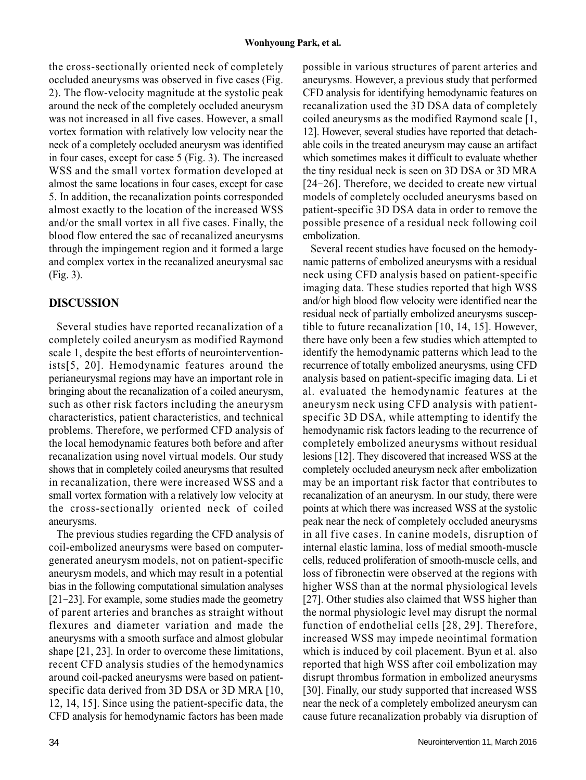the cross-sectionally oriented neck of completely occluded aneurysms was observed in five cases (Fig. 2). The flow-velocity magnitude at the systolic peak around the neck of the completely occluded aneurysm was not increased in all five cases. However, a small vortex formation with relatively low velocity near the neck of a completely occluded aneurysm was identified in four cases, except for case 5 (Fig. 3). The increased WSS and the small vortex formation developed at almost the same locations in four cases, except for case 5. In addition, the recanalization points corresponded almost exactly to the location of the increased WSS and/or the small vortex in all five cases. Finally, the blood flow entered the sac of recanalized aneurysms through the impingement region and it formed a large and complex vortex in the recanalized aneurysmal sac (Fig. 3).

## **DISCUSSION**

Several studies have reported recanalization of a completely coiled aneurysm as modified Raymond scale 1, despite the best efforts of neurointerventionists[5, 20]. Hemodynamic features around the perianeurysmal regions may have an important role in bringing about the recanalization of a coiled aneurysm, such as other risk factors including the aneurysm characteristics, patient characteristics, and technical problems. Therefore, we performed CFD analysis of the local hemodynamic features both before and after recanalization using novel virtual models. Our study shows that in completely coiled aneurysms that resulted in recanalization, there were increased WSS and a small vortex formation with a relatively low velocity at the cross-sectionally oriented neck of coiled aneurysms.

The previous studies regarding the CFD analysis of coil-embolized aneurysms were based on computergenerated aneurysm models, not on patient-specific aneurysm models, and which may result in a potential bias in the following computational simulation analyses [21-23]. For example, some studies made the geometry of parent arteries and branches as straight without flexures and diameter variation and made the aneurysms with a smooth surface and almost globular shape [21, 23]. In order to overcome these limitations, recent CFD analysis studies of the hemodynamics around coil-packed aneurysms were based on patientspecific data derived from 3D DSA or 3D MRA [10, 12, 14, 15]. Since using the patient-specific data, the CFD analysis for hemodynamic factors has been made

possible in various structures of parent arteries and aneurysms. However, a previous study that performed CFD analysis for identifying hemodynamic features on recanalization used the 3D DSA data of completely coiled aneurysms as the modified Raymond scale [1, 12]. However, several studies have reported that detachable coils in the treated aneurysm may cause an artifact which sometimes makes it difficult to evaluate whether the tiny residual neck is seen on 3D DSA or 3D MRA [24-26]. Therefore, we decided to create new virtual models of completely occluded aneurysms based on patient-specific 3D DSA data in order to remove the possible presence of a residual neck following coil embolization.

Several recent studies have focused on the hemodynamic patterns of embolized aneurysms with a residual neck using CFD analysis based on patient-specific imaging data. These studies reported that high WSS and/or high blood flow velocity were identified near the residual neck of partially embolized aneurysms susceptible to future recanalization [10, 14, 15]. However, there have only been a few studies which attempted to identify the hemodynamic patterns which lead to the recurrence of totally embolized aneurysms, using CFD analysis based on patient-specific imaging data. Li et al. evaluated the hemodynamic features at the aneurysm neck using CFD analysis with patientspecific 3D DSA, while attempting to identify the hemodynamic risk factors leading to the recurrence of completely embolized aneurysms without residual lesions [12]. They discovered that increased WSS at the completely occluded aneurysm neck after embolization may be an important risk factor that contributes to recanalization of an aneurysm. In our study, there were points at which there was increased WSS at the systolic peak near the neck of completely occluded aneurysms in all five cases. In canine models, disruption of internal elastic lamina, loss of medial smooth-muscle cells, reduced proliferation of smooth-muscle cells, and loss of fibronectin were observed at the regions with higher WSS than at the normal physiological levels [27]. Other studies also claimed that WSS higher than the normal physiologic level may disrupt the normal function of endothelial cells [28, 29]. Therefore, increased WSS may impede neointimal formation which is induced by coil placement. Byun et al. also reported that high WSS after coil embolization may disrupt thrombus formation in embolized aneurysms [30]. Finally, our study supported that increased WSS near the neck of a completely embolized aneurysm can cause future recanalization probably via disruption of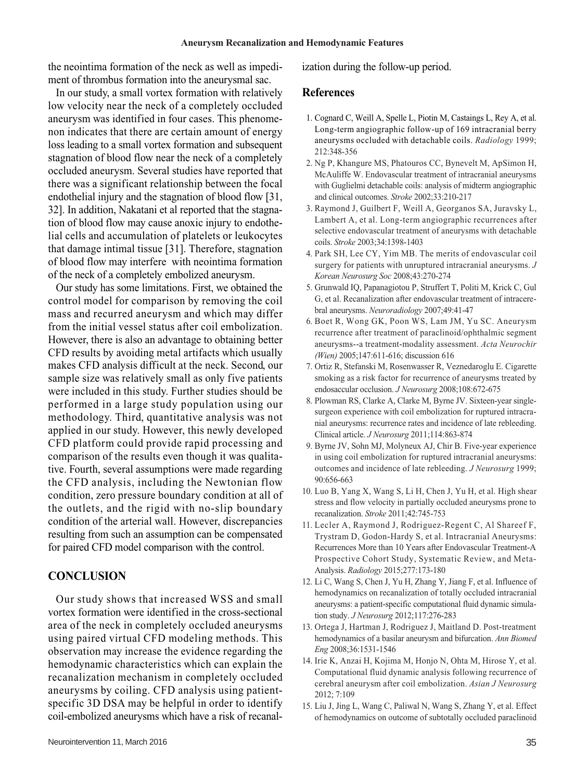the neointima formation of the neck as well as impediment of thrombus formation into the aneurysmal sac.

In our study, a small vortex formation with relatively low velocity near the neck of a completely occluded aneurysm was identified in four cases. This phenomenon indicates that there are certain amount of energy loss leading to a small vortex formation and subsequent stagnation of blood flow near the neck of a completely occluded aneurysm. Several studies have reported that there was a significant relationship between the focal endothelial injury and the stagnation of blood flow [31, 32]. In addition, Nakatani et al reported that the stagnation of blood flow may cause anoxic injury to endothelial cells and accumulation of platelets or leukocytes that damage intimal tissue [31]. Therefore, stagnation of blood flow may interfere with neointima formation of the neck of a completely embolized aneurysm.

Our study has some limitations. First, we obtained the control model for comparison by removing the coil mass and recurred aneurysm and which may differ from the initial vessel status after coil embolization. However, there is also an advantage to obtaining better CFD results by avoiding metal artifacts which usually makes CFD analysis difficult at the neck. Second, our sample size was relatively small as only five patients were included in this study. Further studies should be performed in a large study population using our methodology. Third, quantitative analysis was not applied in our study. However, this newly developed CFD platform could provide rapid processing and comparison of the results even though it was qualitative. Fourth, several assumptions were made regarding the CFD analysis, including the Newtonian flow condition, zero pressure boundary condition at all of the outlets, and the rigid with no-slip boundary condition of the arterial wall. However, discrepancies resulting from such an assumption can be compensated for paired CFD model comparison with the control.

## **CONCLUSION**

Our study shows that increased WSS and small vortex formation were identified in the cross-sectional area of the neck in completely occluded aneurysms using paired virtual CFD modeling methods. This observation may increase the evidence regarding the hemodynamic characteristics which can explain the recanalization mechanism in completely occluded aneurysms by coiling. CFD analysis using patientspecific 3D DSA may be helpful in order to identify coil-embolized aneurysms which have a risk of recanalization during the follow-up period.

#### **References**

- 1. Cognard C, Weill A, Spelle L, Piotin M, Castaings L, Rey A, et al. Long-term angiographic follow-up of 169 intracranial berry aneurysms occluded with detachable coils. *Radiology* 1999; 212:348-356
- 2. Ng P, Khangure MS, Phatouros CC, Bynevelt M, ApSimon H, McAuliffe W. Endovascular treatment of intracranial aneurysms with Guglielmi detachable coils: analysis of midterm angiographic and clinical outcomes. *Stroke* 2002;33:210-217
- 3. Raymond J, Guilbert F, Weill A, Georganos SA, Juravsky L, Lambert A, et al. Long-term angiographic recurrences after selective endovascular treatment of aneurysms with detachable coils. *Stroke* 2003;34:1398-1403
- 4. Park SH, Lee CY, Yim MB. The merits of endovascular coil surgery for patients with unruptured intracranial aneurysms. *J Korean Neurosurg Soc* 2008;43:270-274
- 5. Grunwald IQ, Papanagiotou P, Struffert T, Politi M, Krick C, Gul G, et al. Recanalization after endovascular treatment of intracerebral aneurysms. *Neuroradiology* 2007;49:41-47
- 6. Boet R, Wong GK, Poon WS, Lam JM, Yu SC. Aneurysm recurrence after treatment of paraclinoid/ophthalmic segment aneurysms--a treatment-modality assessment. *Acta Neurochir (Wien)* 2005;147:611-616; discussion 616
- 7. Ortiz R, Stefanski M, Rosenwasser R, Veznedaroglu E. Cigarette smoking as a risk factor for recurrence of aneurysms treated by endosaccular occlusion. *J Neurosurg* 2008;108:672-675
- 8. Plowman RS, Clarke A, Clarke M, Byrne JV. Sixteen-year singlesurgeon experience with coil embolization for ruptured intracranial aneurysms: recurrence rates and incidence of late rebleeding. Clinical article. *J Neurosurg* 2011;114:863-874
- 9. Byrne JV, Sohn MJ, Molyneux AJ, Chir B. Five-year experience in using coil embolization for ruptured intracranial aneurysms: outcomes and incidence of late rebleeding. *J Neurosurg* 1999; 90:656-663
- 10. Luo B, Yang X, Wang S, Li H, Chen J, Yu H, et al. High shear stress and flow velocity in partially occluded aneurysms prone to recanalization. *Stroke* 2011;42:745-753
- 11. Lecler A, Raymond J, Rodriguez-Regent C, Al Shareef F, Trystram D, Godon-Hardy S, et al. Intracranial Aneurysms: Recurrences More than 10 Years after Endovascular Treatment-A Prospective Cohort Study, Systematic Review, and Meta-Analysis. *Radiology* 2015;277:173-180
- 12. Li C, Wang S, Chen J, Yu H, Zhang Y, Jiang F, et al. Influence of hemodynamics on recanalization of totally occluded intracranial aneurysms: a patient-specific computational fluid dynamic simulation study. *J Neurosurg* 2012;117:276-283
- 13. Ortega J, Hartman J, Rodriguez J, Maitland D. Post-treatment hemodynamics of a basilar aneurysm and bifurcation. *Ann Biomed Eng* 2008;36:1531-1546
- 14. Irie K, Anzai H, Kojima M, Honjo N, Ohta M, Hirose Y, et al. Computational fluid dynamic analysis following recurrence of cerebral aneurysm after coil embolization. *Asian J Neurosurg* 2012; 7:109
- 15. Liu J, Jing L, Wang C, Paliwal N, Wang S, Zhang Y, et al. Effect of hemodynamics on outcome of subtotally occluded paraclinoid